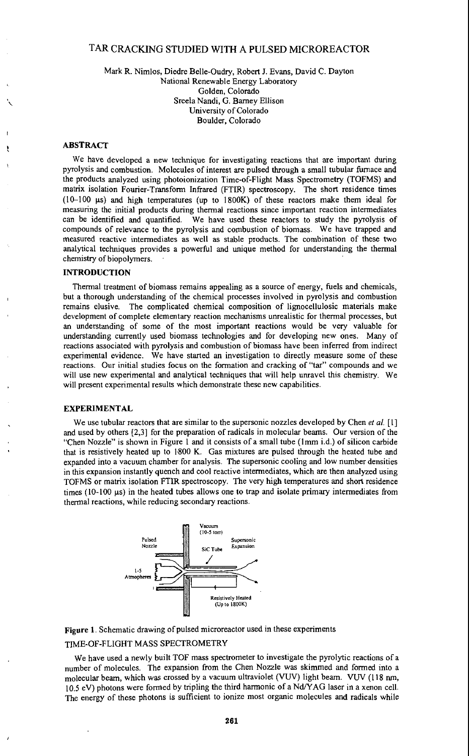# TAR CRACKING STUDIED WITH **A** PULSED MICROREACTOR

## Mark R. Nimlos, Diedre Belle-Oudry, Robert J. Evans, David C. Dayton National Renewable Energy Laboratory Golden, Colorado Sreela Nandi, G. Barney Ellison University of Colorado Boulder, Colorado

### **ABSTRACT**

We have developed a new technique for investigating reactions that are important during pyrolysis and combustion. Molecules of interest are pulsed through a small tubular fimace and the products analyzed using photoionization Time-of-Flight Mass Spectrometty (TOFMS) and matrix isolation Fourier-Transform Infrared (FTIR) spectroscopy. The short residence times (1G100 **ps)** and high temperatures (up to 1800K) of these reactors make them ideal for measuring the initial products during thermal reactions since important reaction intermediates can be identified and quantified. We have used these reactors to study the pyrolysis of compounds of relevance to the pyrolysis and combustion of biomass. We have trapped and measured reactive intermediates as well as stable products. The combination of these two analytical techniques provides a powerful and unique method for understanding the thermal chemistry of biopolymers. .

# **INTRODUCTION**

Thermal treatment of biomass remains appealing as a source of energy, fuels and chemicals, but a thorough understanding of the chemical processes involved in pyrolysis and combustion remains elusive. The complicated chemical composition of lignocellulosic materials make development of complete elementary reaction mechanisms unrealistic for thermal processes, but an understanding of some of the most important reactions would be very valuable for understanding currently used biomass technologies and for developing new ones. Many of reactions associated with pyrolysis and combustion of biomass have been inferred from indirect experimental evidence. We have started an investigation to directly measure some of these reactions. Our initial studies focus on the formation and cracking of "tar" compounds and we will use new experimental and analytical techniques that will help unravel this chemistry. We will present experimental results which demonstrate these new capabilities.

### **EXPERIMENTAL**

We use tubular reactors that are similar to the supersonic nozzles developed by Chen et al. [1] and used by others **[2,3]** for the preparation of radicals in molecular beams. Our version of the "Chen Nozzle" is shown in Figure 1 and it consists of a small tube (1mm i.d.) of silicon carbide that is resistively heated up to 1.800 K. Gas mixtures are pulsed through the heated tube and expanded into a vacuum chamber for analysis. The supersonic cooling and low number densities in this expansion instantly quench and cool reactive intermediates, which are then analyzed using TOFMS or matrix isolation FTIR spectroscopy. The very **high** temperatures and short residence times (10-100 **ps)** in the heated tubes allows one to trap and isolate primary intermediates from thermal reactions, while reducing secondary reactions.



**Figure 1,** Schematic drawing of pulsed microreactor used in these experiments

### TIME-OF-FLIGHT MASS SPECTROMETRY

We have used a newly built TOF mass spectrometer to investigate the pyrolytic reactions of a number of molecules. The expansion ffom the Chen Nozzle was skimmed and formed into a molecular beam, which was crossed by a vacuum ultraviolet (VUV) light beam. VUV (118 nm, 10.5 eV) photons were formed by tripling the third harmonic of a NdlYAG laser in a xenon cell. The energy of these photons is sufficient to ionize most organic molecules and radicals while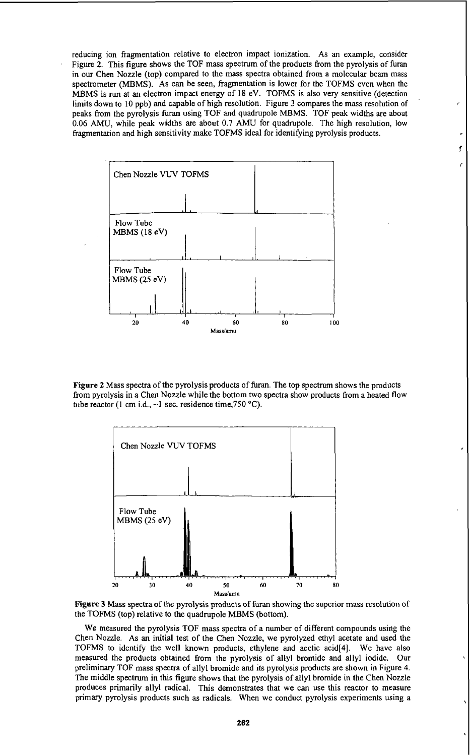reducing ion fragmentation relative to electron impact ionization. **As** an example, consider Figure 2. This figure shows the TOF mass spectrum of the products from the pyrolysis of furan in our Chen Nozzle (top) compared to the mass spectra obtained from a molecular beam mass spectrometer (MBMS). As can be seen, fragmentation is lower for the TOFMS even when the MBMS is **run** at an electron impact energy of **18** eV. TOFMS is also very sensitive (detection limits down **to IO** ppb) and capable of high resolution. Figure **3** compares the mass resolution of peaks from the pyrolysis furan using TOF and quadrupole MBMS. TOF peak widths are about 0.06 *AMU,* while peak widths are about 0.7 *AMU* for quadrupole. The high resolution, **low**  fragmentation and high sensitivity make TOFMS ideal for identifying pyrolysis products.



**Figure 2** Mass spectra of the pyrolysis products of furan. The top spectrum shows the products from pyrolysis in a Chen Nozzle while the bottom two spectra show products from a heated flow tube reactor (1 cm i.d.,  $\sim$ 1 sec. residence time,750 °C).



**Figure 3 Mass** spectra of the pyrolysis products of furan showing the superior mass resolution of the TOFMS (top) relative to the quadrupole MBMS (bottom).

**We** measured the pyrolysis TOF mass spectra of a number of different compounds using the Chen Nozzle. **As an** initial test of the Chen Nozzle, we pyrolyzed ethyl acetate and used the TOFMS to identify the well known products, ethylene and acetic acid[4]. **We** have also measured the products obtained from the pyrolysis of allyl bromide and allyl iodide. Our preliminary TOF mass spectra of allyl bromide and its pyrolysis products are shown in Figure **4.**  The middle spectrum in this figure shows that the pyrolysis of allyl bromide in the Chen Nozzle produces primarily allyl radical. This demonstrates that we can **use** this reactor to measure primary pyrolysis products such as radicals. When we conduct pyrolysis experiments using a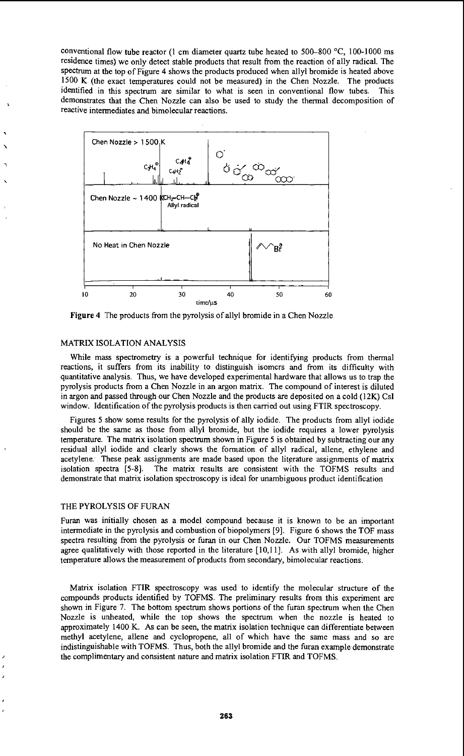conventional flow tube reactor (1 cm diameter quartz tube heated to 500-800 °C, 100-1000 ms residence times) we only detect stable products that result from the reaction of ally radical. The spectrum at the top of Figure 4 shows the products produced when allyl bromide is heated above 1500 **K** (the exact temperatures could not be measured) in the Chen Nozzle. The products identified in this spectrum are similar to what is seen in conventional flow tubes. This demonstrates that the Chen Nozzle can also be used to study the thermal decomposition of reactive intermediates and bimolecular reactions.



**Figure 4** The products from the pyrolysis of allyl bromide in a Chen Nozzle

#### MATRIX ISOLATION ANALYSIS

 $\mathbf{v}$ 

While mass spectrometry is a powerful technique for identifying products from thermal reactions, it suffers from its inability to distinguish isomcrs and from its difficulty with quantitative analysis. Thus, we have developed experimental hardware that allows **us** to trap the pyrolysis products from a Chen Nozzle in an argon matrix. The compound of interest is diluted in argon and passed through our Chen Nozzle and the products are deposited on a cold (12K) Csl window. Identification of the pyrolysis products is then carried out using FTIR spectroscopy.

Figures *5* show some results for the pyrolysis of ally iodide. The products from allyl iodide should be the same as those from allyl bromide, but the iodide requires a lower pyrolysis temperature. The matrix isolation spectrum shown in Figure 5 is obtained by subtracting our any residual allyl iodide and clearly shows the formation of allyl radical, allene, ethylene and acetylene. These peak assignments are made based upon the literature assignments of matrix isolation spectra *[5-8].* The matrix results are consistent with the TOFMS results and demonstrate that matrix isolation spectroscopy is ideal for unambiguous product identification

## THE PYROLYSIS OF FURAN

Furan was initially chosen as a model compound because it is known to be an important intermediate in the pyrolysis and combustion of biopolymers **[9].** Figure 6 shows the TOF mass spectra resulting from the pyrolysis or furan in our Chen Nozzle. Our TOFMS measurements agree qualitatively with those reported in the literature [10,11]. As with allyl bromide, higher temperature allows the measurement of products from secondary, bimolecular reactions.

Matrix isolation FTIR spectroscopy was used to identify the molecular structure of the compounds products identified by TOFMS. The preliminary results from this experiment are shown in Figure 7. The bottom spectrum shows portions of the furan spectrum when the Chen Nozzle is unheated, while the top shows the spectrum when the nozzle is heated to approximately 1400 K. As can be seen, the matrix isolation technique can differentiate between methyl acetylene, allene and cyclopropene, all of which have the same mass and so are indistinguishable with TOFMS. Thus, both the allyl bromide and the furan example demonstrate the complimentary and consistent nature and matrix isolation FTIR and TOFMS.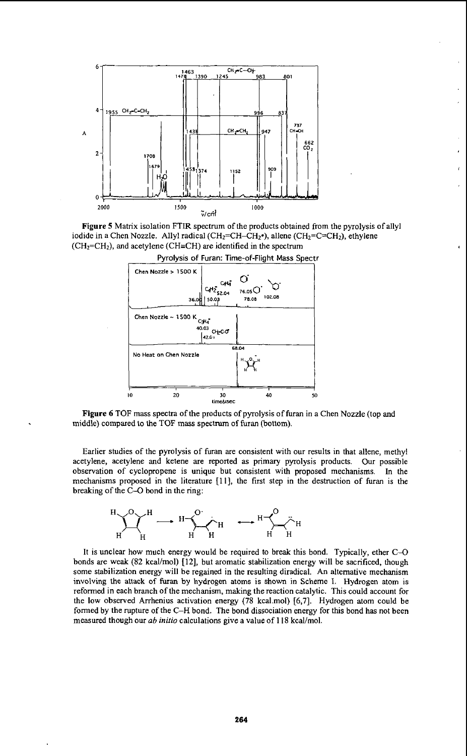

Figure **5** Matrix isolation FTIR spectrum of the products obtained from the pyrolysis of allyl iodide in a Chen Nozzle. Allyl radical ( $CH_2=CH-CH_2$ <sup>o</sup>), allene ( $CH_2=CH_2$ ), ethylene  $(CH<sub>2</sub>=CH<sub>2</sub>)$ , and acetylene (CH=CH) are identified in the spectrum





**Figure 6** TOF mass spectra of the products of pyrolysis of furan in a Chen Nozzle **(top** and middle) compared to the TOF mass spectrum of furan (bottom).

Earlier studies of the pyrolysis of furan are consistent with our results in that allene, methyl acetylene, acetylene and ketene are reported as primary pyrolysis products. Our possible observation of cyclopropene is unique but consistent with proposed mechanisms. In the mechanisms proposed in the literature **[l I],** the first step in the destruction of furan is the breaking of the C-0 bond in the ring:



It is unclear how much energy would be required to break this bond. Typically, ether C-O bonds are weak **(82** kcal/mol) **[12],** but aromatic stabilization energy will be sacrificed, though some stabilization energy will be regained in the resulting diradical. *An* alternative mechanism involving the attack of **furan** by hydrogen atoms is shown in Scheme I. Hydrogen atom is reformed in each branch of the mechanism, making the reaction catalytic. This could account **for**  the low observed Arrhenius activation energy **(78** kcalmol) **[6,7].** Hydrogen atom could be formed by the rupture of the C-H bond. The bond dissociation energy **for** this bond has not been measured though our *ab initio* calculations give a value **of 118** kcal/mol.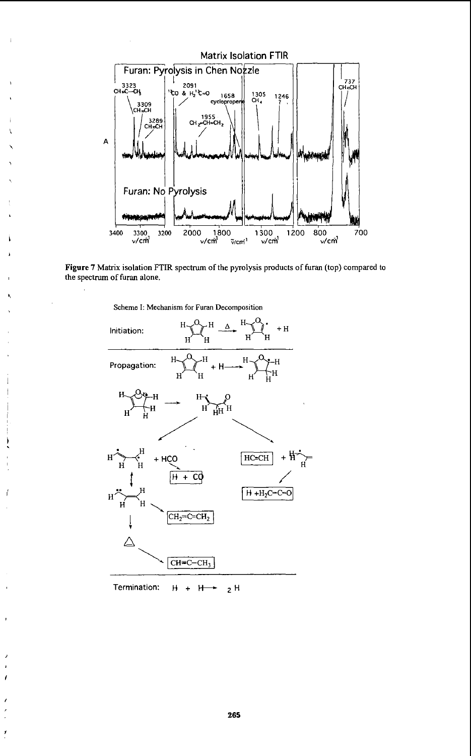



**Scheme** I: **Mechanism** for Furan **Decomposition** 



Termination:  $H + H \rightarrow 2H$ 

f